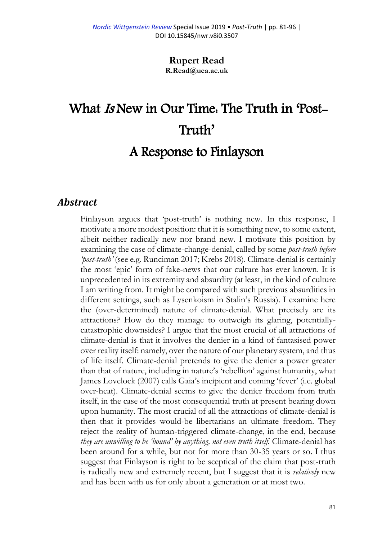**Rupert Read R.Read@uea.ac.uk**

# What Is New in Our Time: The Truth in 'Post-Truth'

# A Response to Finlayson

#### *Abstract*

Finlayson argues that 'post-truth' is nothing new. In this response, I motivate a more modest position: that it is something new, to some extent, albeit neither radically new nor brand new. I motivate this position by examining the case of climate-change-denial, called by some *post-truth before 'post-truth'* (see e.g. Runciman 2017; Krebs 2018). Climate-denial is certainly the most 'epic' form of fake-news that our culture has ever known. It is unprecedented in its extremity and absurdity (at least, in the kind of culture I am writing from. It might be compared with such previous absurdities in different settings, such as Lysenkoism in Stalin's Russia). I examine here the (over-determined) nature of climate-denial. What precisely are its attractions? How do they manage to outweigh its glaring, potentiallycatastrophic downsides? I argue that the most crucial of all attractions of climate-denial is that it involves the denier in a kind of fantasised power over reality itself: namely, over the nature of our planetary system, and thus of life itself. Climate-denial pretends to give the denier a power greater than that of nature, including in nature's 'rebellion' against humanity, what James Lovelock (2007) calls Gaia's incipient and coming 'fever' (i.e. global over-heat). Climate-denial seems to give the denier freedom from truth itself, in the case of the most consequential truth at present bearing down upon humanity. The most crucial of all the attractions of climate-denial is then that it provides would-be libertarians an ultimate freedom. They reject the reality of human-triggered climate-change, in the end, because *they are unwilling to be 'bound' by anything, not even truth itself.* Climate-denial has been around for a while, but not for more than 30-35 years or so. I thus suggest that Finlayson is right to be sceptical of the claim that post-truth is radically new and extremely recent, but I suggest that it is *relatively* new and has been with us for only about a generation or at most two.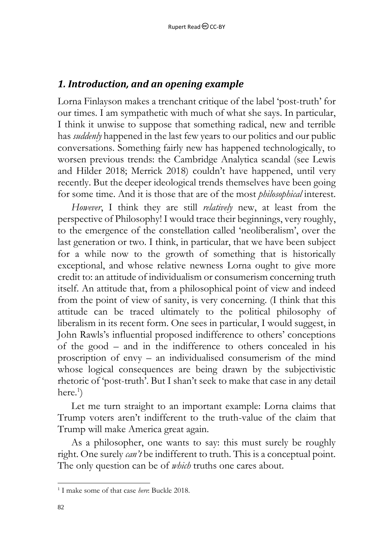#### *1. Introduction, and an opening example*

Lorna Finlayson makes a trenchant critique of the label 'post-truth' for our times. I am sympathetic with much of what she says. In particular, I think it unwise to suppose that something radical, new and terrible has *suddenly* happened in the last few years to our politics and our public conversations. Something fairly new has happened technologically, to worsen previous trends: the Cambridge Analytica scandal (see Lewis and Hilder 2018; Merrick 2018) couldn't have happened, until very recently. But the deeper ideological trends themselves have been going for some time. And it is those that are of the most *philosophical* interest.

*However*, I think they are still *relatively* new, at least from the perspective of Philosophy! I would trace their beginnings, very roughly, to the emergence of the constellation called 'neoliberalism', over the last generation or two. I think, in particular, that we have been subject for a while now to the growth of something that is historically exceptional, and whose relative newness Lorna ought to give more credit to: an attitude of individualism or consumerism concerning truth itself. An attitude that, from a philosophical point of view and indeed from the point of view of sanity, is very concerning. (I think that this attitude can be traced ultimately to the political philosophy of liberalism in its recent form. One sees in particular, I would suggest, in John Rawls's influential proposed indifference to others' conceptions of the good – and in the indifference to others concealed in his proscription of envy – an individualised consumerism of the mind whose logical consequences are being drawn by the subjectivistic rhetoric of 'post-truth'. But I shan't seek to make that case in any detail here.<sup>1</sup>)

Let me turn straight to an important example: Lorna claims that Trump voters aren't indifferent to the truth-value of the claim that Trump will make America great again.

As a philosopher, one wants to say: this must surely be roughly right. One surely *can't* be indifferent to truth. This is a conceptual point. The only question can be of *which* truths one cares about.

l 1 I make some of that case *here*: Buckle 2018.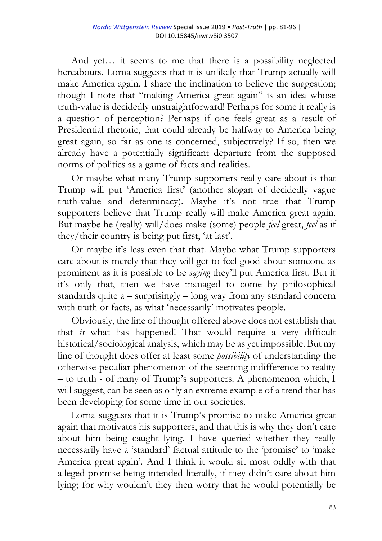And yet… it seems to me that there is a possibility neglected hereabouts. Lorna suggests that it is unlikely that Trump actually will make America again. I share the inclination to believe the suggestion; though I note that "making America great again" is an idea whose truth-value is decidedly unstraightforward! Perhaps for some it really is a question of perception? Perhaps if one feels great as a result of Presidential rhetoric, that could already be halfway to America being great again, so far as one is concerned, subjectively? If so, then we already have a potentially significant departure from the supposed norms of politics as a game of facts and realities.

Or maybe what many Trump supporters really care about is that Trump will put 'America first' (another slogan of decidedly vague truth-value and determinacy). Maybe it's not true that Trump supporters believe that Trump really will make America great again. But maybe he (really) will/does make (some) people *feel* great, *feel* as if they/their country is being put first, 'at last'.

Or maybe it's less even that that. Maybe what Trump supporters care about is merely that they will get to feel good about someone as prominent as it is possible to be *saying* they'll put America first. But if it's only that, then we have managed to come by philosophical standards quite a – surprisingly – long way from any standard concern with truth or facts, as what 'necessarily' motivates people.

Obviously, the line of thought offered above does not establish that that *is* what has happened! That would require a very difficult historical/sociological analysis, which may be as yet impossible. But my line of thought does offer at least some *possibility* of understanding the otherwise-peculiar phenomenon of the seeming indifference to reality – to truth - of many of Trump's supporters. A phenomenon which, I will suggest, can be seen as only an extreme example of a trend that has been developing for some time in our societies.

Lorna suggests that it is Trump's promise to make America great again that motivates his supporters, and that this is why they don't care about him being caught lying. I have queried whether they really necessarily have a 'standard' factual attitude to the 'promise' to 'make America great again'. And I think it would sit most oddly with that alleged promise being intended literally, if they didn't care about him lying; for why wouldn't they then worry that he would potentially be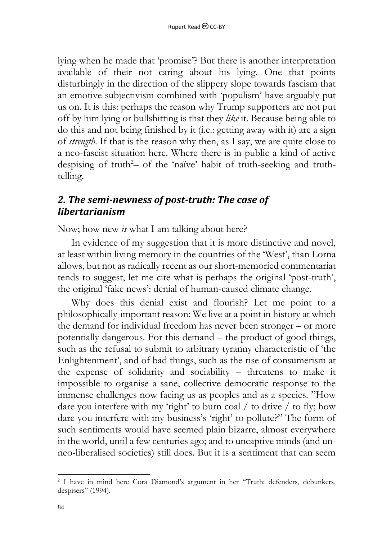lying when he made that 'promise'? But there is another interpretation available of their not caring about his lying. One that points disturbingly in the direction of the slippery slope towards fascism that an emotive subjectivism combined with 'populism' have arguably put us on. It is this: perhaps the reason why Trump supporters are not put off by him lying or bullshitting is that they *like* it. Because being able to do this and not being finished by it (i.e.: getting away with it) are a sign of *strength*. If that is the reason why then, as I say, we are quite close to a neo-fascist situation here. Where there is in public a kind of active despising of truth<sup>2</sup>- of the 'naïve' habit of truth-seeking and truthtelling.

### *2. The semi-newness of post-truth: The case of libertarianism*

Now; how new *is* what I am talking about here?

In evidence of my suggestion that it is more distinctive and novel, at least within living memory in the countries of the 'West', than Lorna allows, but not as radically recent as our short-memoried commentariat tends to suggest, let me cite what is perhaps the original 'post-truth', the original 'fake news': denial of human-caused climate change.

Why does this denial exist and flourish? Let me point to a philosophically-important reason: We live at a point in history at which the demand for individual freedom has never been stronger – or more potentially dangerous. For this demand – the product of good things, such as the refusal to submit to arbitrary tyranny characteristic of 'the Enlightenment', and of bad things, such as the rise of consumerism at the expense of solidarity and sociability – threatens to make it impossible to organise a sane, collective democratic response to the immense challenges now facing us as peoples and as a species. "How dare you interfere with my 'right' to burn coal / to drive / to fly; how dare you interfere with my business's 'right' to pollute?" The form of such sentiments would have seemed plain bizarre, almost everywhere in the world, until a few centuries ago; and to uncaptive minds (and unneo-liberalised societies) still does. But it is a sentiment that can seem

l <sup>2</sup> I have in mind here Cora Diamond's argument in her "Truth: defenders, debunkers, despisers" (1994).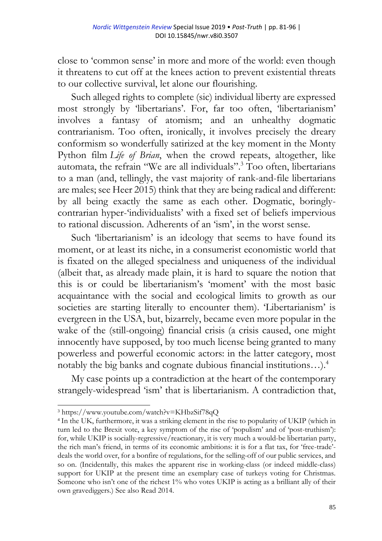close to 'common sense' in more and more of the world: even though it threatens to cut off at the knees action to prevent existential threats to our collective survival, let alone our flourishing.

Such alleged rights to complete (sic) individual liberty are expressed most strongly by 'libertarians'. For, far too often, 'libertarianism' involves a fantasy of atomism; and an unhealthy dogmatic contrarianism. Too often, ironically, it involves precisely the dreary conformism so wonderfully satirized at the key moment in the Monty Python film *Life of Brian*, when the crowd repeats, altogether, like automata, the refrain "We are all individuals".<sup>3</sup> Too often, libertarians to a man (and, tellingly, the vast majority of rank-and-file libertarians are males; see Heer 2015) think that they are being radical and different: by all being exactly the same as each other. Dogmatic, boringlycontrarian hyper-'individualists' with a fixed set of beliefs impervious to rational discussion. Adherents of an 'ism', in the worst sense.

Such 'libertarianism' is an ideology that seems to have found its moment, or at least its niche, in a consumerist economistic world that is fixated on the alleged specialness and uniqueness of the individual (albeit that, as already made plain, it is hard to square the notion that this is or could be libertarianism's 'moment' with the most basic acquaintance with the social and ecological limits to growth as our societies are starting literally to encounter them). 'Libertarianism' is evergreen in the USA, but, bizarrely, became even more popular in the wake of the (still-ongoing) financial crisis (a crisis caused, one might innocently have supposed, by too much license being granted to many powerless and powerful economic actors: in the latter category, most notably the big banks and cognate dubious financial institutions…).<sup>4</sup>

My case points up a contradiction at the heart of the contemporary strangely-widespread 'ism' that is libertarianism. A contradiction that,

<sup>3</sup> <https://www.youtube.com/watch?v=KHbzSif78qQ>

<sup>4</sup> In the UK, furthermore, it was a striking element in the rise to popularity of UKIP (which in turn led to the Brexit vote, a key symptom of the rise of 'populism' and of 'post-truthism'): for, while UKIP is socially-regressive/reactionary, it is very much a would-be libertarian party, the rich man's friend, in terms of its economic ambitions: it is for a flat tax, for 'free-trade' deals the world over, for a bonfire of regulations, for the selling-off of our public services, and so on. (Incidentally, this makes the apparent rise in working-class (or indeed middle-class) support for UKIP at the present time an exemplary case of turkeys voting for Christmas. Someone who isn't one of the richest 1% who votes UKIP is acting as a brilliant ally of their own gravediggers.) See also Read 2014.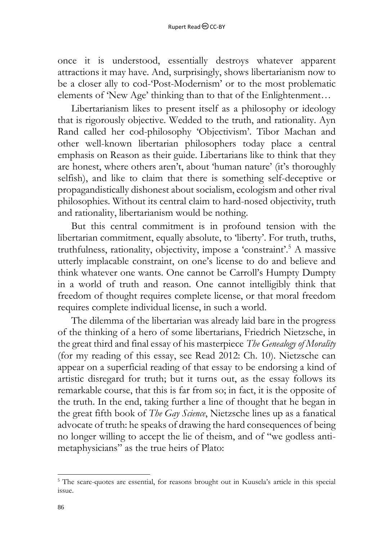once it is understood, essentially destroys whatever apparent attractions it may have. And, surprisingly, shows libertarianism now to be a closer ally to cod-'Post-Modernism' or to the most problematic elements of 'New Age' thinking than to that of the Enlightenment…

Libertarianism likes to present itself as a philosophy or ideology that is rigorously objective. Wedded to the truth, and rationality. Ayn Rand called her cod-philosophy 'Objectivism'. Tibor Machan and other well-known libertarian philosophers today place a central emphasis on Reason as their guide. Libertarians like to think that they are honest, where others aren't, about 'human nature' (it's thoroughly selfish), and like to claim that there is something self-deceptive or propagandistically dishonest about socialism, ecologism and other rival philosophies. Without its central claim to hard-nosed objectivity, truth and rationality, libertarianism would be nothing.

But this central commitment is in profound tension with the libertarian commitment, equally absolute, to 'liberty'. For truth, truths, truthfulness, rationality, objectivity, impose a 'constraint'.<sup>5</sup> A massive utterly implacable constraint, on one's license to do and believe and think whatever one wants. One cannot be Carroll's Humpty Dumpty in a world of truth and reason. One cannot intelligibly think that freedom of thought requires complete license, or that moral freedom requires complete individual license, in such a world.

The dilemma of the libertarian was already laid bare in the progress of the thinking of a hero of some libertarians, Friedrich Nietzsche, in the great third and final essay of his masterpiece *The Genealogy of Morality* (for my reading of this essay, see Read 2012: Ch. 10). Nietzsche can appear on a superficial reading of that essay to be endorsing a kind of artistic disregard for truth; but it turns out, as the essay follows its remarkable course, that this is far from so; in fact, it is the opposite of the truth. In the end, taking further a line of thought that he began in the great fifth book of *The Gay Science*, Nietzsche lines up as a fanatical advocate of truth: he speaks of drawing the hard consequences of being no longer willing to accept the lie of theism, and of "we godless antimetaphysicians" as the true heirs of Plato:

<sup>&</sup>lt;sup>5</sup> The scare-quotes are essential, for reasons brought out in Kuusela's article in this special issue.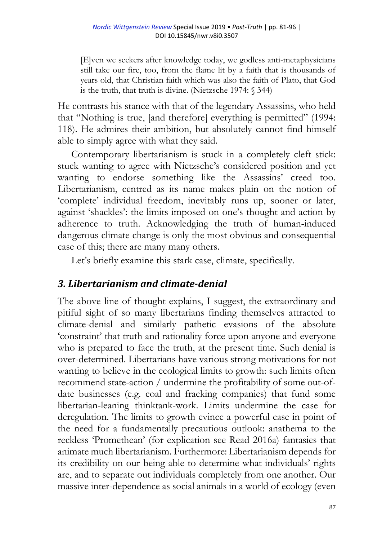[E]ven we seekers after knowledge today, we godless anti-metaphysicians still take our fire, too, from the flame lit by a faith that is thousands of years old, that Christian faith which was also the faith of Plato, that God is the truth, that truth is divine. (Nietzsche 1974: § 344)

He contrasts his stance with that of the legendary Assassins, who held that "Nothing is true, [and therefore] everything is permitted" (1994: 118). He admires their ambition, but absolutely cannot find himself able to simply agree with what they said.

Contemporary libertarianism is stuck in a completely cleft stick: stuck wanting to agree with Nietzsche's considered position and yet wanting to endorse something like the Assassins' creed too. Libertarianism, centred as its name makes plain on the notion of 'complete' individual freedom, inevitably runs up, sooner or later, against 'shackles': the limits imposed on one's thought and action by adherence to truth. Acknowledging the truth of human-induced dangerous climate change is only the most obvious and consequential case of this; there are many many others.

Let's briefly examine this stark case, climate, specifically.

# *3. Libertarianism and climate-denial*

The above line of thought explains, I suggest, the extraordinary and pitiful sight of so many libertarians finding themselves attracted to climate-denial and similarly pathetic evasions of the absolute 'constraint' that truth and rationality force upon anyone and everyone who is prepared to face the truth, at the present time. Such denial is over-determined. Libertarians have various strong motivations for not wanting to believe in the ecological limits to growth: such limits often recommend state-action / undermine the profitability of some out-ofdate businesses (e.g. coal and fracking companies) that fund some libertarian-leaning thinktank-work. Limits undermine the case for deregulation. The limits to growth evince a powerful case in point of the need for a fundamentally precautious outlook: anathema to the reckless 'Promethean' (for explication see Read 2016a) fantasies that animate much libertarianism. Furthermore: Libertarianism depends for its credibility on our being able to determine what individuals' rights are, and to separate out individuals completely from one another. Our massive inter-dependence as social animals in a world of ecology (even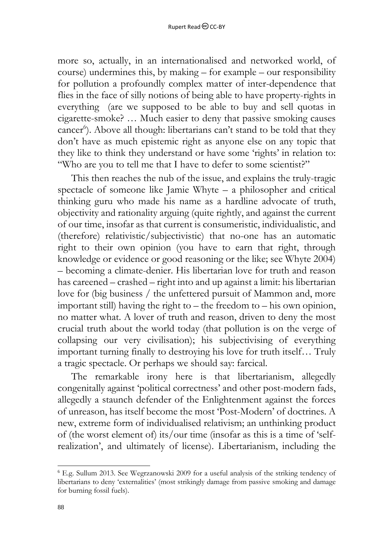more so, actually, in an internationalised and networked world, of course) undermines this, by making – for example – our responsibility for pollution a profoundly complex matter of inter-dependence that flies in the face of silly notions of being able to have property-rights in everything (are we supposed to be able to buy and sell quotas in cigarette-smoke? … Much easier to deny that passive smoking causes cancer<sup>6</sup>). Above all though: libertarians can't stand to be told that they don't have as much epistemic right as anyone else on any topic that they like to think they understand or have some 'rights' in relation to: "Who are you to tell me that I have to defer to some scientist?"

This then reaches the nub of the issue, and explains the truly-tragic spectacle of someone like Jamie Whyte – a philosopher and critical thinking guru who made his name as a hardline advocate of truth, objectivity and rationality arguing (quite rightly, and against the current of our time, insofar as that current is consumeristic, individualistic, and (therefore) relativistic/subjectivistic) that no-one has an automatic right to their own opinion (you have to earn that right, through knowledge or evidence or good reasoning or the like; see Whyte 2004) – becoming a climate-denier. His libertarian love for truth and reason has careened – crashed – right into and up against a limit: his libertarian love for (big business / the unfettered pursuit of Mammon and, more important still) having the right to – the freedom to – his own opinion, no matter what. A lover of truth and reason, driven to deny the most crucial truth about the world today (that pollution is on the verge of collapsing our very civilisation); his subjectivising of everything important turning finally to destroying his love for truth itself… Truly a tragic spectacle. Or perhaps we should say: farcical.

The remarkable irony here is that libertarianism, allegedly congenitally against 'political correctness' and other post-modern fads, allegedly a staunch defender of the Enlightenment against the forces of unreason, has itself become the most 'Post-Modern' of doctrines. A new, extreme form of individualised relativism; an unthinking product of (the worst element of) its/our time (insofar as this is a time of 'selfrealization', and ultimately of license). Libertarianism, including the

<sup>6</sup> E.g. Sullum 2013. See Wegrzanowski 2009 for a useful analysis of the striking tendency of libertarians to deny 'externalities' (most strikingly damage from passive smoking and damage for burning fossil fuels).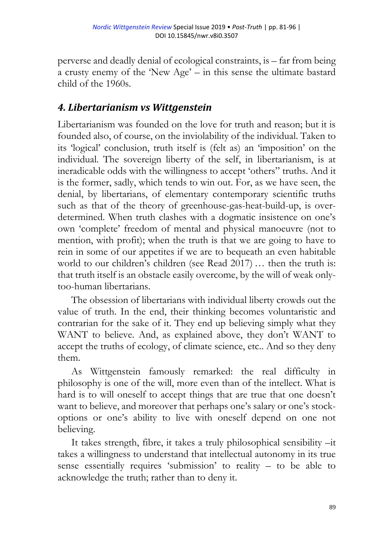perverse and deadly denial of ecological constraints, is – far from being a crusty enemy of the 'New Age' – in this sense the ultimate bastard child of the 1960s.

#### *4. Libertarianism vs Wittgenstein*

Libertarianism was founded on the love for truth and reason; but it is founded also, of course, on the inviolability of the individual. Taken to its 'logical' conclusion, truth itself is (felt as) an 'imposition' on the individual. The sovereign liberty of the self, in libertarianism, is at ineradicable odds with the willingness to accept 'others" truths. And it is the former, sadly, which tends to win out. For, as we have seen, the denial, by libertarians, of elementary contemporary scientific truths such as that of the theory of greenhouse-gas-heat-build-up, is overdetermined. When truth clashes with a dogmatic insistence on one's own 'complete' freedom of mental and physical manoeuvre (not to mention, with profit); when the truth is that we are going to have to rein in some of our appetites if we are to bequeath an even habitable world to our children's children (see Read 2017) … then the truth is: that truth itself is an obstacle easily overcome, by the will of weak onlytoo-human libertarians.

The obsession of libertarians with individual liberty crowds out the value of truth. In the end, their thinking becomes voluntaristic and contrarian for the sake of it. They end up believing simply what they WANT to believe. And, as explained above, they don't WANT to accept the truths of ecology, of climate science, etc.. And so they deny them.

As Wittgenstein famously remarked: the real difficulty in philosophy is one of the will, more even than of the intellect. What is hard is to will oneself to accept things that are true that one doesn't want to believe, and moreover that perhaps one's salary or one's stockoptions or one's ability to live with oneself depend on one not believing.

It takes strength, fibre, it takes a truly philosophical sensibility –it takes a willingness to understand that intellectual autonomy in its true sense essentially requires 'submission' to reality – to be able to acknowledge the truth; rather than to deny it.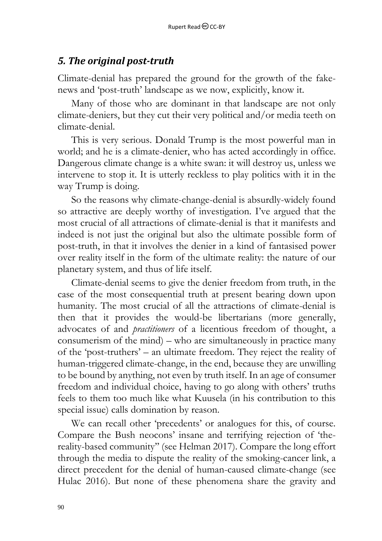#### *5. The original post-truth*

Climate-denial has prepared the ground for the growth of the fakenews and 'post-truth' landscape as we now, explicitly, know it.

Many of those who are dominant in that landscape are not only climate-deniers, but they cut their very political and/or media teeth on climate-denial.

This is very serious. Donald Trump is the most powerful man in world; and he is a climate-denier, who has acted accordingly in office. Dangerous climate change is a white swan: it will destroy us, unless we intervene to stop it. It is utterly reckless to play politics with it in the way Trump is doing.

So the reasons why climate-change-denial is absurdly-widely found so attractive are deeply worthy of investigation. I've argued that the most crucial of all attractions of climate-denial is that it manifests and indeed is not just the original but also the ultimate possible form of post-truth, in that it involves the denier in a kind of fantasised power over reality itself in the form of the ultimate reality: the nature of our planetary system, and thus of life itself.

Climate-denial seems to give the denier freedom from truth, in the case of the most consequential truth at present bearing down upon humanity. The most crucial of all the attractions of climate-denial is then that it provides the would-be libertarians (more generally, advocates of and *practitioners* of a licentious freedom of thought, a consumerism of the mind) – who are simultaneously in practice many of the 'post-truthers' – an ultimate freedom. They reject the reality of human-triggered climate-change, in the end, because they are unwilling to be bound by anything, not even by truth itself. In an age of consumer freedom and individual choice, having to go along with others' truths feels to them too much like what Kuusela (in his contribution to this special issue) calls domination by reason.

We can recall other 'precedents' or analogues for this, of course. Compare the Bush neocons' insane and terrifying rejection of 'thereality-based community'' (see Helman 2017). Compare the long effort through the media to dispute the reality of the smoking-cancer link, a direct precedent for the denial of human-caused climate-change (see Hulac 2016). But none of these phenomena share the gravity and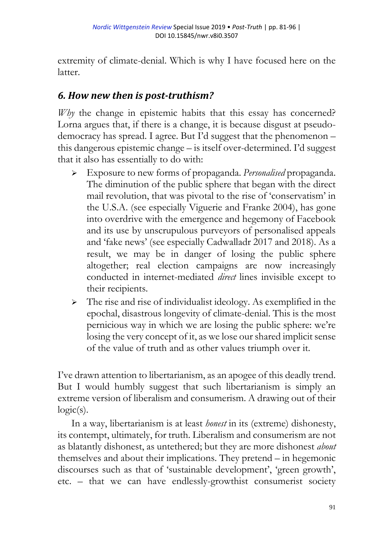extremity of climate-denial. Which is why I have focused here on the latter.

## *6. How new then is post-truthism?*

*Why* the change in epistemic habits that this essay has concerned? Lorna argues that, if there is a change, it is because disgust at pseudodemocracy has spread. I agree. But I'd suggest that the phenomenon – this dangerous epistemic change – is itself over-determined. I'd suggest that it also has essentially to do with:

- Exposure to new forms of propaganda. *Personalised* propaganda. The diminution of the public sphere that began with the direct mail revolution, that was pivotal to the rise of 'conservatism' in the U.S.A. (see especially Viguerie and Franke 2004), has gone into overdrive with the emergence and hegemony of Facebook and its use by unscrupulous purveyors of personalised appeals and 'fake news' (see especially Cadwalladr 2017 and 2018). As a result, we may be in danger of losing the public sphere altogether; real election campaigns are now increasingly conducted in internet-mediated *direct* lines invisible except to their recipients.
- $\triangleright$  The rise and rise of individualist ideology. As exemplified in the epochal, disastrous longevity of climate-denial. This is the most pernicious way in which we are losing the public sphere: we're losing the very concept of it, as we lose our shared implicit sense of the value of truth and as other values triumph over it.

I've drawn attention to libertarianism, as an apogee of this deadly trend. But I would humbly suggest that such libertarianism is simply an extreme version of liberalism and consumerism. A drawing out of their  $logic(s)$ .

In a way, libertarianism is at least *honest* in its (extreme) dishonesty, its contempt, ultimately, for truth. Liberalism and consumerism are not as blatantly dishonest, as untethered; but they are more dishonest *about* themselves and about their implications. They pretend – in hegemonic discourses such as that of 'sustainable development', 'green growth', etc. – that we can have endlessly-growthist consumerist society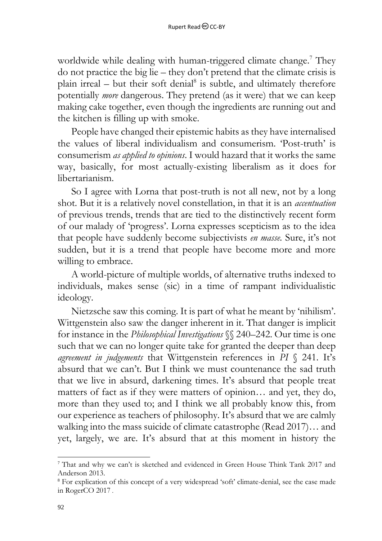worldwide while dealing with human-triggered climate change.<sup>7</sup> They do not practice the big lie – they don't pretend that the climate crisis is plain irreal  $-$  but their soft denial<sup>8</sup> is subtle, and ultimately therefore potentially *more* dangerous. They pretend (as it were) that we can keep making cake together, even though the ingredients are running out and the kitchen is filling up with smoke.

People have changed their epistemic habits as they have internalised the values of liberal individualism and consumerism. 'Post-truth' is consumerism *as applied to opinions*. I would hazard that it works the same way, basically, for most actually-existing liberalism as it does for libertarianism.

So I agree with Lorna that post-truth is not all new, not by a long shot. But it is a relatively novel constellation, in that it is an *accentuation* of previous trends, trends that are tied to the distinctively recent form of our malady of 'progress'. Lorna expresses scepticism as to the idea that people have suddenly become subjectivists *en masse.* Sure, it's not sudden, but it is a trend that people have become more and more willing to embrace.

A world-picture of multiple worlds, of alternative truths indexed to individuals, makes sense (sic) in a time of rampant individualistic ideology.

Nietzsche saw this coming. It is part of what he meant by 'nihilism'. Wittgenstein also saw the danger inherent in it. That danger is implicit for instance in the *Philosophical Investigations* §§ 240–242. Our time is one such that we can no longer quite take for granted the deeper than deep *agreement in judgements* that Wittgenstein references in *PI* § 241. It's absurd that we can't. But I think we must countenance the sad truth that we live in absurd, darkening times. It's absurd that people treat matters of fact as if they were matters of opinion… and yet, they do, more than they used to; and I think we all probably know this, from our experience as teachers of philosophy. It's absurd that we are calmly walking into the mass suicide of climate catastrophe (Read 2017)… and yet, largely, we are. It's absurd that at this moment in history the

<sup>7</sup> That and why we can't is sketched and evidenced in Green House Think Tank 2017 and Anderson 2013.

<sup>&</sup>lt;sup>8</sup> For explication of this concept of a very widespread 'soft' climate-denial, see the case made in RogerCO 2017 .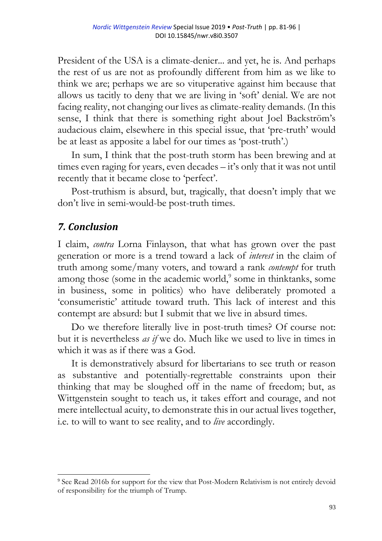President of the USA is a climate-denier... and yet, he is. And perhaps the rest of us are not as profoundly different from him as we like to think we are; perhaps we are so vituperative against him because that allows us tacitly to deny that we are living in 'soft' denial. We are not facing reality, not changing our lives as climate-reality demands. (In this sense, I think that there is something right about Joel Backström's audacious claim, elsewhere in this special issue, that 'pre-truth' would be at least as apposite a label for our times as 'post-truth'.)

In sum, I think that the post-truth storm has been brewing and at times even raging for years, even decades – it's only that it was not until recently that it became close to 'perfect'.

Post-truthism is absurd, but, tragically, that doesn't imply that we don't live in semi-would-be post-truth times.

# *7. Conclusion*

l

I claim, *contra* Lorna Finlayson, that what has grown over the past generation or more is a trend toward a lack of *interest* in the claim of truth among some/many voters, and toward a rank *contempt* for truth among those (some in the academic world,<sup>9</sup> some in thinktanks, some in business, some in politics) who have deliberately promoted a 'consumeristic' attitude toward truth. This lack of interest and this contempt are absurd: but I submit that we live in absurd times.

Do we therefore literally live in post-truth times? Of course not: but it is nevertheless *as if* we do. Much like we used to live in times in which it was as if there was a God.

It is demonstratively absurd for libertarians to see truth or reason as substantive and potentially-regrettable constraints upon their thinking that may be sloughed off in the name of freedom; but, as Wittgenstein sought to teach us, it takes effort and courage, and not mere intellectual acuity, to demonstrate this in our actual lives together, i.e. to will to want to see reality, and to *live* accordingly.

<sup>&</sup>lt;sup>9</sup> See Read 2016b for support for the view that Post-Modern Relativism is not entirely devoid of responsibility for the triumph of Trump.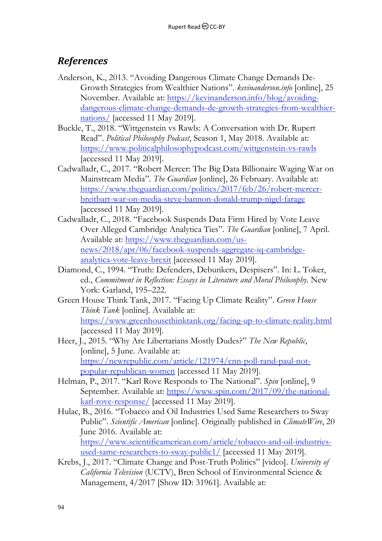#### *References*

- Anderson, K., 2013. "Avoiding Dangerous Climate Change Demands De-Growth Strategies from Wealthier Nations". *kevinanderson.info* [online], 25 November. Available at: [https://kevinanderson.info/blog/avoiding](https://kevinanderson.info/blog/avoiding-dangerous-climate-change-demands-de-growth-strategies-from-wealthier-nations/)[dangerous-climate-change-demands-de-growth-strategies-from-wealthier](https://kevinanderson.info/blog/avoiding-dangerous-climate-change-demands-de-growth-strategies-from-wealthier-nations/)[nations/](https://kevinanderson.info/blog/avoiding-dangerous-climate-change-demands-de-growth-strategies-from-wealthier-nations/) [accessed 11 May 2019].
- Buckle, T., 2018. "Wittgenstein vs Rawls: A Conversation with Dr. Rupert Read". *Political Philosophy Podcast*, Season 1, May 2018. Available at: <https://www.politicalphilosophypodcast.com/wittgenstein-vs-rawls> [accessed 11 May 2019].
- Cadwalladr, C., 2017. "Robert Mercer: The Big Data Billionaire Waging War on Mainstream Media". *The Guardian* [online], 26 February. Available at: [https://www.theguardian.com/politics/2017/feb/26/robert-mercer](https://www.theguardian.com/politics/2017/feb/26/robert-mercer-breitbart-war-on-media-steve-bannon-donald-trump-nigel-farage)[breitbart-war-on-media-steve-bannon-donald-trump-nigel-farage](https://www.theguardian.com/politics/2017/feb/26/robert-mercer-breitbart-war-on-media-steve-bannon-donald-trump-nigel-farage) [accessed 11 May 2019].
- Cadwalladr, C., 2018. "Facebook Suspends Data Firm Hired by Vote Leave Over Alleged Cambridge Analytica Ties". *The Guardian* [online], 7 April. Available at: [https://www.theguardian.com/us](https://www.theguardian.com/us-news/2018/apr/06/facebook-suspends-aggregate-iq-cambridge-analytica-vote-leave-brexit)[news/2018/apr/06/facebook-suspends-aggregate-iq-cambridge](https://www.theguardian.com/us-news/2018/apr/06/facebook-suspends-aggregate-iq-cambridge-analytica-vote-leave-brexit)[analytica-vote-leave-brexit](https://www.theguardian.com/us-news/2018/apr/06/facebook-suspends-aggregate-iq-cambridge-analytica-vote-leave-brexit) [accessed 11 May 2019].
- Diamond, C., 1994. "Truth: Defenders, Debunkers, Despisers". In: L. Toker, ed., *Commitment in Reflection: Essays in Literature and Moral Philosophy*. New York: Garland, 195–222.
- Green House Think Tank, 2017. "Facing Up Climate Reality". *Green House Think Tank* [online]. Available at: <https://www.greenhousethinktank.org/facing-up-to-climate-reality.html> [accessed 11 May 2019].
- Heer, J., 2015. "Why Are Libertarians Mostly Dudes?" *The New Republic*, [online], 5 June. Available at: [https://newrepublic.com/article/121974/cnn-poll-rand-paul-not](https://newrepublic.com/article/121974/cnn-poll-rand-paul-not-popular-republican-women)[popular-republican-women](https://newrepublic.com/article/121974/cnn-poll-rand-paul-not-popular-republican-women) [accessed 11 May 2019].
- Helman, P., 2017. "Karl Rove Responds to The National". *Spin* [online], 9 September. Available at: [https://www.spin.com/2017/09/the-national](https://www.spin.com/2017/09/the-national-karl-rove-response/)[karl-rove-response/](https://www.spin.com/2017/09/the-national-karl-rove-response/) [accessed 11 May 2019].
- Hulac, B., 2016. "Tobacco and Oil Industries Used Same Researchers to Sway Public". *Scientific American* [online]. Originally published in *ClimateWire*, 20 June 2016. Available at: [https://www.scientificamerican.com/article/tobacco-and-oil-industries](https://www.scientificamerican.com/article/tobacco-and-oil-industries-used-same-researchers-to-sway-public1/)[used-same-researchers-to-sway-public1/](https://www.scientificamerican.com/article/tobacco-and-oil-industries-used-same-researchers-to-sway-public1/) [accessed 11 May 2019].
- Krebs, J., 2017. "Climate Change and Post-Truth Politics" [video]. *University of California Television* (UCTV), Bren School of Environmental Science & Management, 4/2017 [Show ID: 31961]. Available at: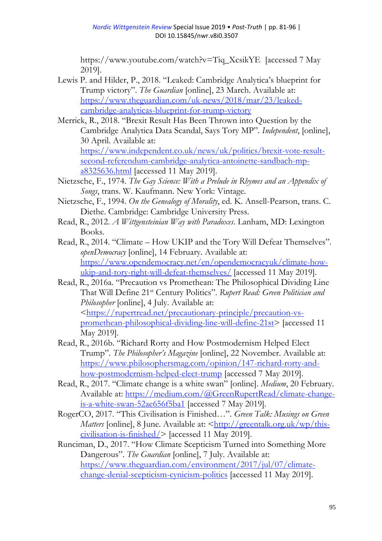[https://www.youtube.com/watch?v=Tiq\\_XcsikYE](https://www.youtube.com/watch?v=Tiq_XcsikYE) [accessed 7 May 2019].

- Lewis P. and Hilder, P., 2018. "Leaked: Cambridge Analytica's blueprint for Trump victory". *The Guardian* [online], 23 March. Available at: [https://www.theguardian.com/uk-news/2018/mar/23/leaked](https://www.theguardian.com/uk-news/2018/mar/23/leaked-cambridge-analyticas-blueprint-for-trump-victory)[cambridge-analyticas-blueprint-for-trump-victory](https://www.theguardian.com/uk-news/2018/mar/23/leaked-cambridge-analyticas-blueprint-for-trump-victory)
- Merrick, R., 2018. "Brexit Result Has Been Thrown into Question by the Cambridge Analytica Data Scandal, Says Tory MP". *Independent*, [online], 30 April. Available at: [https://www.independent.co.uk/news/uk/politics/brexit-vote-result](https://www.independent.co.uk/news/uk/politics/brexit-vote-result-second-referendum-cambridge-analytica-antoinette-sandbach-mp-a8325636.html)[second-referendum-cambridge-analytica-antoinette-sandbach-mp](https://www.independent.co.uk/news/uk/politics/brexit-vote-result-second-referendum-cambridge-analytica-antoinette-sandbach-mp-a8325636.html)[a8325636.html](https://www.independent.co.uk/news/uk/politics/brexit-vote-result-second-referendum-cambridge-analytica-antoinette-sandbach-mp-a8325636.html) [accessed 11 May 2019].
- Nietzsche, F., 1974. *The Gay Science: With a Prelude in Rhymes and an Appendix of Songs*, trans. W. Kaufmann. New York: Vintage.
- Nietzsche, F., 1994. *On the Genealogy of Morality*, ed. K. Ansell-Pearson, trans. C. Diethe. Cambridge: Cambridge University Press.
- Read, R., 2012. *A Wittgensteinian Way with Paradoxes*. Lanham, MD: Lexington Books.
- Read, R., 2014. "Climate How UKIP and the Tory Will Defeat Themselves". *openDemocracy* [online], 14 February. Available at: [https://www.opendemocracy.net/en/opendemocracyuk/climate-how](https://www.opendemocracy.net/en/opendemocracyuk/climate-how-ukip-and-tory-right-will-defeat-themselves/)[ukip-and-tory-right-will-defeat-themselves/](https://www.opendemocracy.net/en/opendemocracyuk/climate-how-ukip-and-tory-right-will-defeat-themselves/) [accessed 11 May 2019].
- Read, R., 2016a. "Precaution vs Promethean: The Philosophical Dividing Line That Will Define 21st Century Politics". *Rupert Read: Green Politician and Philosopher* [online], 4 July. Available at: [<https://rupertread.net/precautionary-principle/precaution-vs](https://rupertread.net/precautionary-principle/precaution-vs-promethean-philosophical-dividing-line-will-define-21st)[promethean-philosophical-dividing-line-will-define-21st>](https://rupertread.net/precautionary-principle/precaution-vs-promethean-philosophical-dividing-line-will-define-21st) [accessed 11 May 2019].
- Read, R., 2016b. "Richard Rorty and How Postmodernism Helped Elect Trump". *The Philosopher's Magazine* [online], 22 November. Available at: [https://www.philosophersmag.com/opinion/147-richard-rorty-and](https://www.philosophersmag.com/opinion/147-richard-rorty-and-how-postmodernism-helped-elect-trump)[how-postmodernism-helped-elect-trump](https://www.philosophersmag.com/opinion/147-richard-rorty-and-how-postmodernism-helped-elect-trump) [accessed 7 May 2019].
- Read, R., 2017. "Climate change is a white swan" [online]. *Medium*, 20 February. Available at: [https://medium.com/@GreenRupertRead/climate-change](https://medium.com/@GreenRupertRead/climate-change-is-a-white-swan-52ae656f5ba1)[is-a-white-swan-52ae656f5ba1](https://medium.com/@GreenRupertRead/climate-change-is-a-white-swan-52ae656f5ba1) [accessed 7 May 2019].
- RogerCO, 2017. "This Civilisation is Finished…". *Green Talk: Musings on Green Matters* [online], 8 June. Available at: [<http://greentalk.org.uk/wp/this](http://greentalk.org.uk/wp/this-civilisation-is-finished/)[civilisation-is-finished/>](http://greentalk.org.uk/wp/this-civilisation-is-finished/) [accessed 11 May 2019].
- Runciman, D., 2017. "How Climate Scepticism Turned into Something More Dangerous". *The Guardian* [online], 7 July. Available at: [https://www.theguardian.com/environment/2017/jul/07/climate](https://www.theguardian.com/environment/2017/jul/07/climate-change-denial-scepticism-cynicism-politics)[change-denial-scepticism-cynicism-politics](https://www.theguardian.com/environment/2017/jul/07/climate-change-denial-scepticism-cynicism-politics) [accessed 11 May 2019].